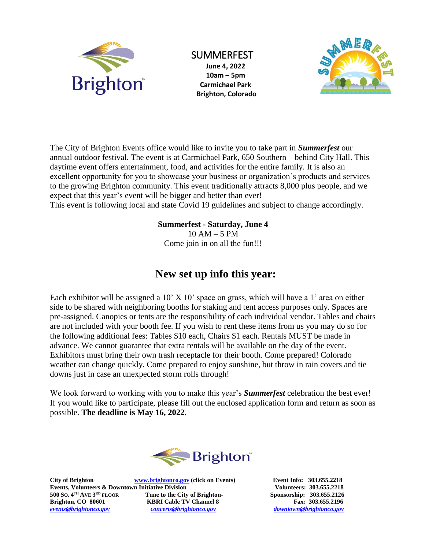

## SUMMERFEST

**June 4, 2022 10am – 5pm Carmichael Park Brighton, Colorado**



The City of Brighton Events office would like to invite you to take part in *Summerfest* our annual outdoor festival. The event is at Carmichael Park, 650 Southern – behind City Hall. This daytime event offers entertainment, food, and activities for the entire family. It is also an excellent opportunity for you to showcase your business or organization's products and services to the growing Brighton community. This event traditionally attracts 8,000 plus people, and we expect that this year's event will be bigger and better than ever! This event is following local and state Covid 19 guidelines and subject to change accordingly.

### **Summerfest - Saturday, June 4**

 $10 AM - 5 PM$ Come join in on all the fun!!!

## **New set up info this year:**

Each exhibitor will be assigned a 10' X 10' space on grass, which will have a 1' area on either side to be shared with neighboring booths for staking and tent access purposes only. Spaces are pre-assigned. Canopies or tents are the responsibility of each individual vendor. Tables and chairs are not included with your booth fee. If you wish to rent these items from us you may do so for the following additional fees: Tables \$10 each, Chairs \$1 each. Rentals MUST be made in advance. We cannot guarantee that extra rentals will be available on the day of the event. Exhibitors must bring their own trash receptacle for their booth. Come prepared! Colorado weather can change quickly. Come prepared to enjoy sunshine, but throw in rain covers and tie downs just in case an unexpected storm rolls through!

We look forward to working with you to make this year's *Summerfest* celebration the best ever! If you would like to participate, please fill out the enclosed application form and return as soon as possible. **The deadline is May 16, 2022.**



**City of Brighton [www.brightonco.gov](http://www.brightonco.gov/) (click on Events) Event Info: 303.655.2218 Events, Volunteers & Downtown Initiative Division Volunteers: 303.655.2218 500 SO. 4 TH AVE 3 Fune to the City of Brighton-** Sponsorship: 303.655.2126 **Brighton, CO 80601 KBRI Cable TV Channel 8** Fax: 303.655.2196<br> **EXECUTE:** Fax: 303.655.2196<br> **EXECUTE:** CONSTRAINING CONSTRAINING CONSTRAINING CONSTRAINING CONSTRAINING CONSTRAINING CONSTRAINING CONSTRAINING CONSTRAININ *[events@brightonco.gov](mailto:events@brightonco.gov) [concerts@brightonco.gov](mailto:concerts@brightonco.gov) downtown@brightonco.gov*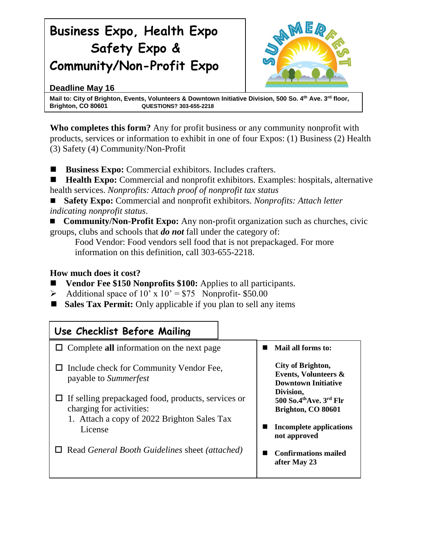# **Business Expo, Health Expo Safety Expo & Community/Non-Profit Expo**



## **Deadline May 16**

**Mail to: City of Brighton, Events, Volunteers & Downtown Initiative Division, 500 So. 4th Ave. 3rd floor, Brighton, CO 80601 QUESTIONS? 303-655-2218**

**Who completes this form?** Any for profit business or any community nonprofit with products, services or information to exhibit in one of four Expos: (1) Business (2) Health (3) Safety (4) Community/Non-Profit

**Business Expo:** Commercial exhibitors. Includes crafters.

**Health Expo:** Commercial and nonprofit exhibitors. Examples: hospitals, alternative health services. *Nonprofits: Attach proof of nonprofit tax status* 

 **Safety Expo:** Commercial and nonprofit exhibitors. *Nonprofits: Attach letter indicating nonprofit status*.

 **Community/Non-Profit Expo:** Any non-profit organization such as churches, civic groups, clubs and schools that *do not* fall under the category of:

Food Vendor: Food vendors sell food that is not prepackaged. For more information on this definition, call 303-655-2218.

## **How much does it cost?**

- **Vendor Fee \$150 Nonprofits \$100:** Applies to all participants.
- $\blacktriangleright$  Additional space of 10' x 10' = \$75 Nonprofit- \$50.00
- Sales Tax Permit: Only applicable if you plan to sell any items

| Use Checklist Before Mailing                                                                                                                                  |                                                                                    |
|---------------------------------------------------------------------------------------------------------------------------------------------------------------|------------------------------------------------------------------------------------|
| $\Box$ Complete all information on the next page                                                                                                              | Mail all forms to:                                                                 |
| City of Brighton,<br>$\Box$ Include check for Community Vendor Fee,<br><b>Events, Volunteers &amp;</b><br>payable to Summerfest<br><b>Downtown Initiative</b> |                                                                                    |
| $\Box$ If selling prepackaged food, products, services or<br>charging for activities:<br>1. Attach a copy of 2022 Brighton Sales Tax                          | Division,<br>500 So.4 <sup>th</sup> Ave. $3^{\text{rd}}$ Flr<br>Brighton, CO 80601 |
| License                                                                                                                                                       | Incomplete applications<br>not approved                                            |
| Read General Booth Guidelines sheet (attached)                                                                                                                | <b>Confirmations mailed</b><br>after May 23                                        |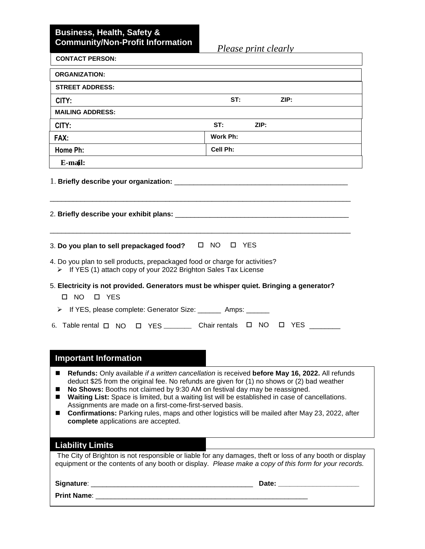### **Business, Health, Safety & Community/Non-Profit Information**

*Please print clearly*

| <b>CONTACT PERSON:</b>                                                                                                                                                                            | I leuse print clearly                                                                                                                                                                                                                                                                                                                                                                                       |
|---------------------------------------------------------------------------------------------------------------------------------------------------------------------------------------------------|-------------------------------------------------------------------------------------------------------------------------------------------------------------------------------------------------------------------------------------------------------------------------------------------------------------------------------------------------------------------------------------------------------------|
| <b>ORGANIZATION:</b>                                                                                                                                                                              |                                                                                                                                                                                                                                                                                                                                                                                                             |
| <b>STREET ADDRESS:</b>                                                                                                                                                                            |                                                                                                                                                                                                                                                                                                                                                                                                             |
| CITY:                                                                                                                                                                                             | ST:<br>ZIP:                                                                                                                                                                                                                                                                                                                                                                                                 |
| <b>MAILING ADDRESS:</b>                                                                                                                                                                           |                                                                                                                                                                                                                                                                                                                                                                                                             |
| CITY:                                                                                                                                                                                             | ST:<br>ZIP:                                                                                                                                                                                                                                                                                                                                                                                                 |
| FAX:                                                                                                                                                                                              | Work Ph:                                                                                                                                                                                                                                                                                                                                                                                                    |
| Home Ph:                                                                                                                                                                                          | Cell Ph:                                                                                                                                                                                                                                                                                                                                                                                                    |
| E-mail:                                                                                                                                                                                           |                                                                                                                                                                                                                                                                                                                                                                                                             |
|                                                                                                                                                                                                   |                                                                                                                                                                                                                                                                                                                                                                                                             |
| 3. Do you plan to sell prepackaged food?<br>4. Do you plan to sell products, prepackaged food or charge for activities?<br>> If YES (1) attach copy of your 2022 Brighton Sales Tax License       | ONO OYES                                                                                                                                                                                                                                                                                                                                                                                                    |
| 5. Electricity is not provided. Generators must be whisper quiet. Bringing a generator?<br>$\Box$ NO<br><b>D</b> YES                                                                              |                                                                                                                                                                                                                                                                                                                                                                                                             |
| If YES, please complete: Generator Size: ________ Amps: ______<br>➤                                                                                                                               |                                                                                                                                                                                                                                                                                                                                                                                                             |
| 6. Table rental □ NO □ YES ________ Chair rentals □ NO                                                                                                                                            | $\Box$<br><b>YES</b>                                                                                                                                                                                                                                                                                                                                                                                        |
|                                                                                                                                                                                                   |                                                                                                                                                                                                                                                                                                                                                                                                             |
| <b>Important Information</b>                                                                                                                                                                      |                                                                                                                                                                                                                                                                                                                                                                                                             |
| ■<br>No Shows: Booths not claimed by 9:30 AM on festival day may be reassigned.<br>ш<br>■<br>Assignments are made on a first-come-first-served basis.<br>■<br>complete applications are accepted. | Refunds: Only available if a written cancellation is received before May 16, 2022. All refunds<br>deduct \$25 from the original fee. No refunds are given for (1) no shows or (2) bad weather<br>Waiting List: Space is limited, but a waiting list will be established in case of cancellations.<br><b>Confirmations:</b> Parking rules, maps and other logistics will be mailed after May 23, 2022, after |
| <b>Liability Limits</b>                                                                                                                                                                           |                                                                                                                                                                                                                                                                                                                                                                                                             |
|                                                                                                                                                                                                   | The City of Brighton is not responsible or liable for any damages, theft or loss of any booth or display<br>equipment or the contents of any booth or display. Please make a copy of this form for your records.                                                                                                                                                                                            |
|                                                                                                                                                                                                   |                                                                                                                                                                                                                                                                                                                                                                                                             |
| Print Name: _<br><u> 1980 - Johann Barbara, martxa alemaniar amerikan basar da da a shekara a shekara a shekara a shekara a shekar</u>                                                            |                                                                                                                                                                                                                                                                                                                                                                                                             |